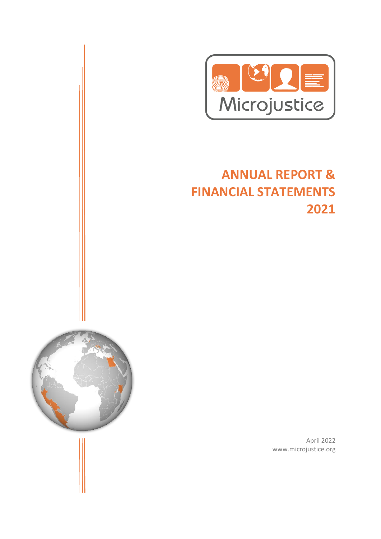

# **ANNUAL REPORT & FINANCIAL STATEMENTS 2021**



April 2022 www.microjustice.org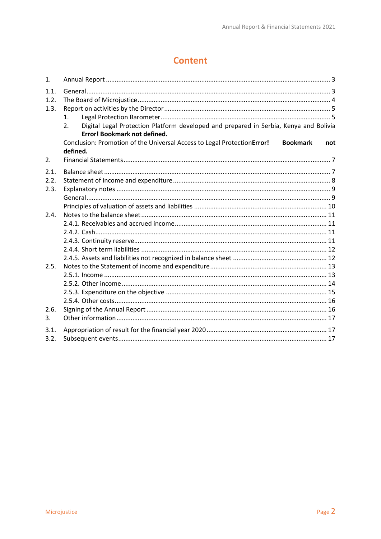# **Content**

| 1.                   |                                                                                                                                                      |
|----------------------|------------------------------------------------------------------------------------------------------------------------------------------------------|
| 1.1.<br>1.2.<br>1.3. | 1 <sub>1</sub><br>Digital Legal Protection Platform developed and prepared in Serbia, Kenya and Bolivia<br>2.<br><b>Error! Bookmark not defined.</b> |
|                      | Conclusion: Promotion of the Universal Access to Legal ProtectionError!<br><b>Bookmark</b><br>not<br>defined.                                        |
| 2.                   |                                                                                                                                                      |
| 2.1.<br>2.2.<br>2.3. |                                                                                                                                                      |
| 2.4.                 |                                                                                                                                                      |
|                      |                                                                                                                                                      |
| 2.5.                 |                                                                                                                                                      |
| 2.6.<br>3.           |                                                                                                                                                      |
| 3.1.<br>3.2.         |                                                                                                                                                      |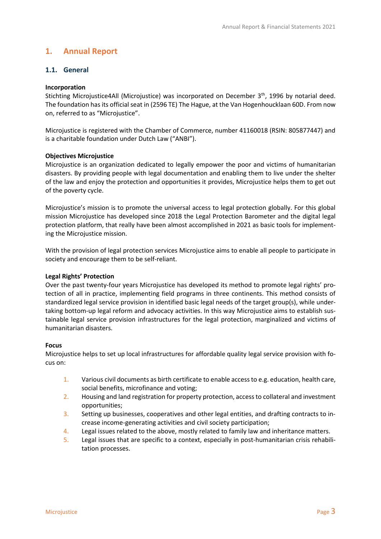# <span id="page-2-0"></span>**1. Annual Report**

# <span id="page-2-1"></span>**1.1. General**

#### **Incorporation**

Stichting Microjustice4All (Microjustice) was incorporated on December 3<sup>th</sup>, 1996 by notarial deed. The foundation has its official seat in (2596 TE) The Hague, at the Van Hogenhoucklaan 60D. From now on, referred to as "Microjustice".

Microjustice is registered with the Chamber of Commerce, number 41160018 (RSIN: 805877447) and is a charitable foundation under Dutch Law ("ANBI").

#### **Objectives Microjustice**

Microjustice is an organization dedicated to legally empower the poor and victims of humanitarian disasters. By providing people with legal documentation and enabling them to live under the shelter of the law and enjoy the protection and opportunities it provides, Microjustice helps them to get out of the poverty cycle.

Microjustice's mission is to promote the universal access to legal protection globally. For this global mission Microjustice has developed since 2018 the Legal Protection Barometer and the digital legal protection platform, that really have been almost accomplished in 2021 as basic tools for implementing the Microjustice mission.

With the provision of legal protection services Microjustice aims to enable all people to participate in society and encourage them to be self-reliant.

#### **Legal Rights' Protection**

Over the past twenty-four years Microjustice has developed its method to promote legal rights' protection of all in practice, implementing field programs in three continents. This method consists of standardized legal service provision in identified basic legal needs of the target group(s), while undertaking bottom-up legal reform and advocacy activities. In this way Microjustice aims to establish sustainable legal service provision infrastructures for the legal protection, marginalized and victims of humanitarian disasters.

#### **Focus**

Microjustice helps to set up local infrastructures for affordable quality legal service provision with focus on:

- 1. Various civil documents as birth certificate to enable access to e.g. education, health care, social benefits, microfinance and voting;
- 2. Housing and land registration for property protection, access to collateral and investment opportunities;
- 3. Setting up businesses, cooperatives and other legal entities, and drafting contracts to increase income-generating activities and civil society participation;
- 4. Legal issues related to the above, mostly related to family law and inheritance matters.
- 5. Legal issues that are specific to a context, especially in post-humanitarian crisis rehabilitation processes.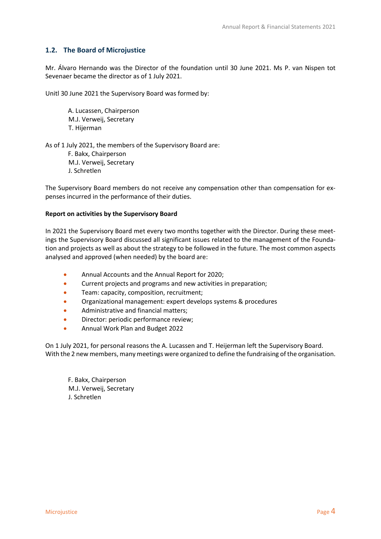# <span id="page-3-0"></span>**1.2. The Board of Microjustice**

Mr. Álvaro Hernando was the Director of the foundation until 30 June 2021. Ms P. van Nispen tot Sevenaer became the director as of 1 July 2021.

Unitl 30 June 2021 the Supervisory Board was formed by:

A. Lucassen, Chairperson M.J. Verweij, Secretary T. Hijerman

As of 1 July 2021, the members of the Supervisory Board are: F. Bakx, Chairperson M.J. Verweij, Secretary J. Schretlen

The Supervisory Board members do not receive any compensation other than compensation for expenses incurred in the performance of their duties.

#### **Report on activities by the Supervisory Board**

In 2021 the Supervisory Board met every two months together with the Director. During these meetings the Supervisory Board discussed all significant issues related to the management of the Foundation and projects as well as about the strategy to be followed in the future. The most common aspects analysed and approved (when needed) by the board are:

- Annual Accounts and the Annual Report for 2020;
- Current projects and programs and new activities in preparation;
- Team: capacity, composition, recruitment;
- Organizational management: expert develops systems & procedures
- Administrative and financial matters;
- Director: periodic performance review;
- Annual Work Plan and Budget 2022

On 1 July 2021, for personal reasons the A. Lucassen and T. Heijerman left the Supervisory Board. With the 2 new members, many meetings were organized to define the fundraising of the organisation.

F. Bakx, Chairperson M.J. Verweij, Secretary J. Schretlen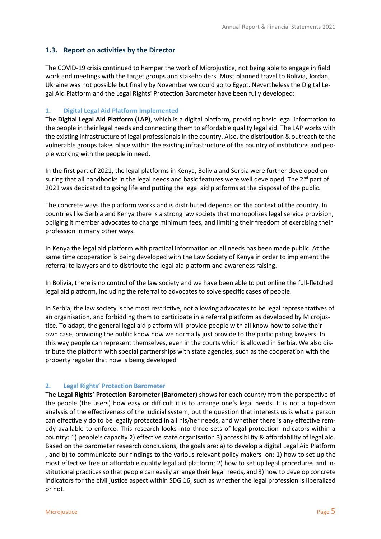# <span id="page-4-0"></span>**1.3. Report on activities by the Director**

The COVID-19 crisis continued to hamper the work of Microjustice, not being able to engage in field work and meetings with the target groups and stakeholders. Most planned travel to Bolivia, Jordan, Ukraine was not possible but finally by November we could go to Egypt. Nevertheless the Digital Legal Aid Platform and the Legal Rights' Protection Barometer have been fully developed:

#### **1. Digital Legal Aid Platform Implemented**

The **Digital Legal Aid Platform (LAP)**, which is a digital platform, providing basic legal information to the people in their legal needs and connecting them to affordable quality legal aid. The LAP works with the existing infrastructure of legal professionals in the country. Also, the distribution & outreach to the vulnerable groups takes place within the existing infrastructure of the country of institutions and people working with the people in need.

In the first part of 2021, the legal platforms in Kenya, Bolivia and Serbia were further developed ensuring that all handbooks in the legal needs and basic features were well developed. The 2<sup>nd</sup> part of 2021 was dedicated to going life and putting the legal aid platforms at the disposal of the public.

The concrete ways the platform works and is distributed depends on the context of the country. In countries like Serbia and Kenya there is a strong law society that monopolizes legal service provision, obliging it member advocates to charge minimum fees, and limiting their freedom of exercising their profession in many other ways.

In Kenya the legal aid platform with practical information on all needs has been made public. At the same time cooperation is being developed with the Law Society of Kenya in order to implement the referral to lawyers and to distribute the legal aid platform and awareness raising.

In Bolivia, there is no control of the law society and we have been able to put online the full-fletched legal aid platform, including the referral to advocates to solve specific cases of people.

In Serbia, the law society is the most restrictive, not allowing advocates to be legal representatives of an organisation, and forbidding them to participate in a referral platform as developed by Microjustice. To adapt, the general legal aid platform will provide people with all know-how to solve their own case, providing the public know how we normally just provide to the participating lawyers. In this way people can represent themselves, even in the courts which is allowed in Serbia. We also distribute the platform with special partnerships with state agencies, such as the cooperation with the property register that now is being developed

#### <span id="page-4-1"></span>**2. Legal Rights' Protection Barometer**

The **Legal Rights' Protection Barometer (Barometer)** shows for each country from the perspective of the people (the users) how easy or difficult it is to arrange one's legal needs. It is not a top-down analysis of the effectiveness of the judicial system, but the question that interests us is what a person can effectively do to be legally protected in all his/her needs, and whether there is any effective remedy available to enforce. This research looks into three sets of legal protection indicators within a country: 1) people's capacity 2) effective state organisation 3) accessibility & affordability of legal aid. Based on the barometer research conclusions, the goals are: a) to develop a digital Legal Aid Platform , and b) to communicate our findings to the various relevant policy makers on: 1) how to set up the most effective free or affordable quality legal aid platform; 2) how to set up legal procedures and institutional practices so that people can easily arrange their legal needs, and 3) how to develop concrete indicators for the civil justice aspect within SDG 16, such as whether the legal profession is liberalized or not.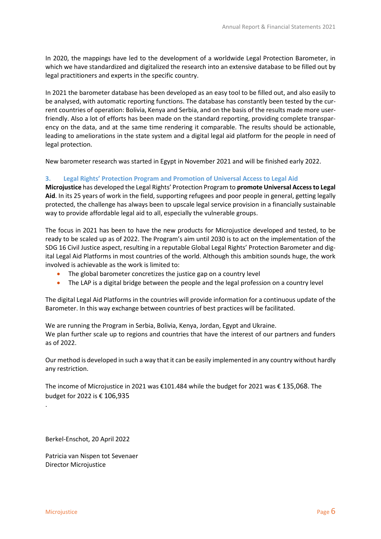In 2020, the mappings have led to the development of a worldwide Legal Protection Barometer, in which we have standardized and digitalized the research into an extensive database to be filled out by legal practitioners and experts in the specific country.

In 2021 the barometer database has been developed as an easy tool to be filled out, and also easily to be analysed, with automatic reporting functions. The database has constantly been tested by the current countries of operation: Bolivia, Kenya and Serbia, and on the basis of the results made more userfriendly. Also a lot of efforts has been made on the standard reporting, providing complete transparency on the data, and at the same time rendering it comparable. The results should be actionable, leading to ameliorations in the state system and a digital legal aid platform for the people in need of legal protection.

New barometer research was started in Egypt in November 2021 and will be finished early 2022.

#### **3. Legal Rights' Protection Program and Promotion of Universal Access to Legal Aid**

**Microjustice** has developed the Legal Rights' Protection Program to **promote Universal Access to Legal Aid**. In its 25 years of work in the field, supporting refugees and poor people in general, getting legally protected, the challenge has always been to upscale legal service provision in a financially sustainable way to provide affordable legal aid to all, especially the vulnerable groups.

The focus in 2021 has been to have the new products for Microjustice developed and tested, to be ready to be scaled up as of 2022. The Program's aim until 2030 is to act on the implementation of the SDG 16 Civil Justice aspect, resulting in a reputable Global Legal Rights' Protection Barometer and digital Legal Aid Platforms in most countries of the world. Although this ambition sounds huge, the work involved is achievable as the work is limited to:

- The global barometer concretizes the justice gap on a country level
- The LAP is a digital bridge between the people and the legal profession on a country level

The digital Legal Aid Platforms in the countries will provide information for a continuous update of the Barometer. In this way exchange between countries of best practices will be facilitated.

We are running the Program in Serbia, Bolivia, Kenya, Jordan, Egypt and Ukraine. We plan further scale up to regions and countries that have the interest of our partners and funders as of 2022.

Our method is developed in such a way that it can be easily implemented in any country without hardly any restriction.

The income of Microjustice in 2021 was €101.484 while the budget for 2021 was € 135,068. The budget for 2022 is € 106,935

Berkel-Enschot, 20 April 2022

Patricia van Nispen tot Sevenaer Director Microjustice

.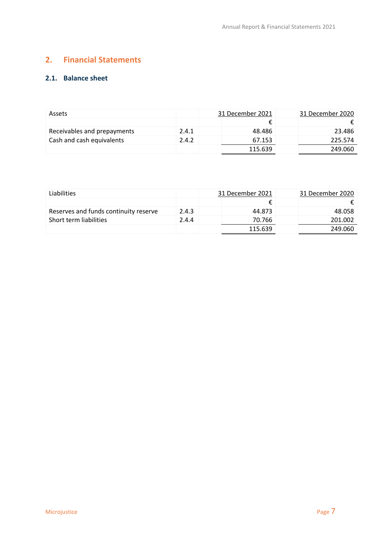# <span id="page-6-0"></span>**2. Financial Statements**

# <span id="page-6-1"></span>**2.1. Balance sheet**

| <b>Assets</b>               |       | 31 December 2021 | 31 December 2020 |
|-----------------------------|-------|------------------|------------------|
|                             |       |                  |                  |
| Receivables and prepayments | 2.4.1 | 48.486           | 23.486           |
| Cash and cash equivalents   | 2.4.2 | 67.153           | 225.574          |
|                             |       | 115.639          | 249.060          |

| Liabilities                           |       | 31 December 2021 | 31 December 2020 |
|---------------------------------------|-------|------------------|------------------|
|                                       |       |                  |                  |
| Reserves and funds continuity reserve | 2.4.3 | 44.873           | 48.058           |
| Short term liabilities                | 2.4.4 | 70.766           | 201.002          |
|                                       |       | 115.639          | 249.060          |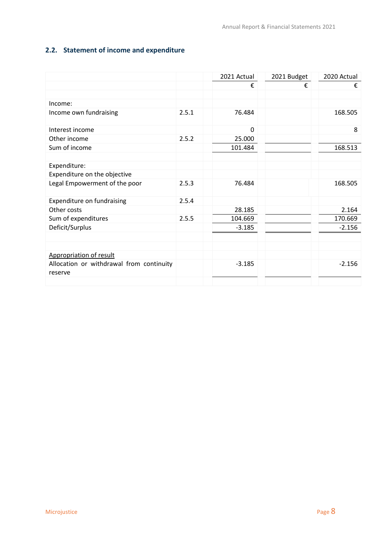# <span id="page-7-0"></span>**2.2. Statement of income and expenditure**

|                                                     |       | 2021 Actual  | 2021 Budget | 2020 Actual |
|-----------------------------------------------------|-------|--------------|-------------|-------------|
|                                                     |       | €            | €           | €           |
|                                                     |       |              |             |             |
| Income:                                             |       |              |             |             |
| Income own fundraising                              | 2.5.1 | 76.484       |             | 168.505     |
| Interest income                                     |       | $\mathbf{0}$ |             | 8           |
| Other income                                        | 2.5.2 | 25.000       |             |             |
| Sum of income                                       |       | 101.484      |             | 168.513     |
|                                                     |       |              |             |             |
| Expenditure:                                        |       |              |             |             |
| Expenditure on the objective                        |       |              |             |             |
| Legal Empowerment of the poor                       | 2.5.3 | 76.484       |             | 168.505     |
| Expenditure on fundraising                          | 2.5.4 |              |             |             |
| Other costs                                         |       | 28.185       |             | 2.164       |
| Sum of expenditures                                 | 2.5.5 | 104.669      |             | 170.669     |
| Deficit/Surplus                                     |       | $-3.185$     |             | $-2.156$    |
|                                                     |       |              |             |             |
|                                                     |       |              |             |             |
| Appropriation of result                             |       |              |             |             |
| Allocation or withdrawal from continuity<br>reserve |       | $-3.185$     |             | $-2.156$    |
|                                                     |       |              |             |             |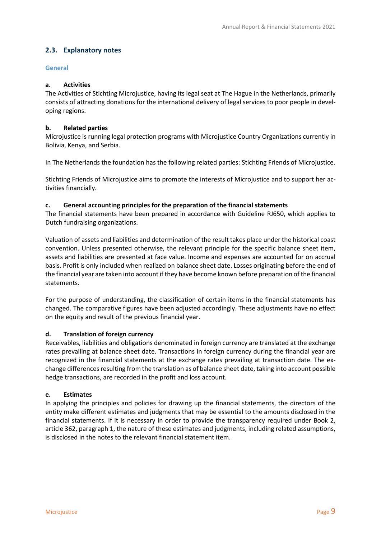# <span id="page-8-0"></span>**2.3. Explanatory notes**

## <span id="page-8-1"></span>**General**

## **a. Activities**

The Activities of Stichting Microjustice, having its legal seat at The Hague in the Netherlands, primarily consists of attracting donations for the international delivery of legal services to poor people in developing regions.

## **b. Related parties**

Microjustice is running legal protection programs with Microjustice Country Organizations currently in Bolivia, Kenya, and Serbia.

In The Netherlands the foundation has the following related parties: Stichting Friends of Microjustice.

Stichting Friends of Microjustice aims to promote the interests of Microjustice and to support her activities financially.

## **c. General accounting principles for the preparation of the financial statements**

The financial statements have been prepared in accordance with Guideline RJ650, which applies to Dutch fundraising organizations.

Valuation of assets and liabilities and determination of the result takes place under the historical coast convention. Unless presented otherwise, the relevant principle for the specific balance sheet item, assets and liabilities are presented at face value. Income and expenses are accounted for on accrual basis. Profit is only included when realized on balance sheet date. Losses originating before the end of the financial year are taken into account if they have become known before preparation of the financial statements.

For the purpose of understanding, the classification of certain items in the financial statements has changed. The comparative figures have been adjusted accordingly. These adjustments have no effect on the equity and result of the previous financial year.

# **d. Translation of foreign currency**

Receivables, liabilities and obligations denominated in foreign currency are translated at the exchange rates prevailing at balance sheet date. Transactions in foreign currency during the financial year are recognized in the financial statements at the exchange rates prevailing at transaction date. The exchange differences resulting from the translation as of balance sheet date, taking into account possible hedge transactions, are recorded in the profit and loss account.

# **e. Estimates**

In applying the principles and policies for drawing up the financial statements, the directors of the entity make different estimates and judgments that may be essential to the amounts disclosed in the financial statements. If it is necessary in order to provide the transparency required under Book 2, article 362, paragraph 1, the nature of these estimates and judgments, including related assumptions, is disclosed in the notes to the relevant financial statement item.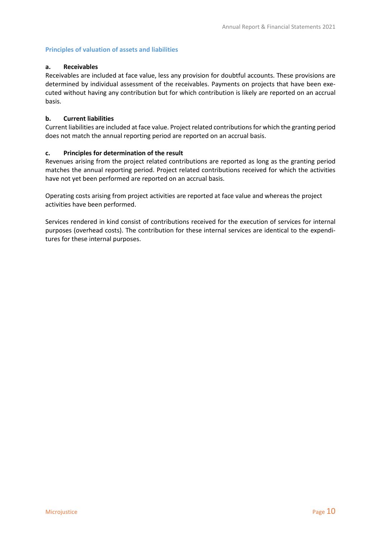## <span id="page-9-0"></span>**Principles of valuation of assets and liabilities**

#### **a. Receivables**

Receivables are included at face value, less any provision for doubtful accounts. These provisions are determined by individual assessment of the receivables. Payments on projects that have been executed without having any contribution but for which contribution is likely are reported on an accrual basis.

#### **b. Current liabilities**

Current liabilities are included at face value. Project related contributions for which the granting period does not match the annual reporting period are reported on an accrual basis.

#### **c. Principles for determination of the result**

Revenues arising from the project related contributions are reported as long as the granting period matches the annual reporting period. Project related contributions received for which the activities have not yet been performed are reported on an accrual basis.

Operating costs arising from project activities are reported at face value and whereas the project activities have been performed.

Services rendered in kind consist of contributions received for the execution of services for internal purposes (overhead costs). The contribution for these internal services are identical to the expenditures for these internal purposes.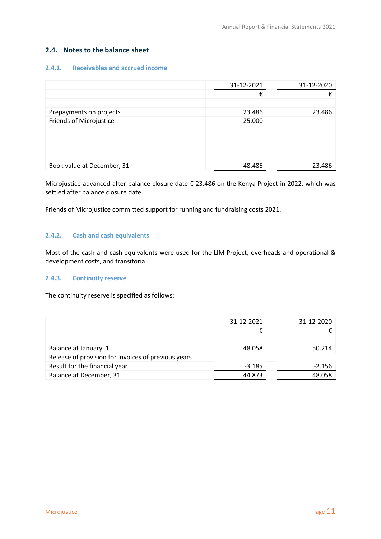# <span id="page-10-0"></span>**2.4. Notes to the balance sheet**

## <span id="page-10-1"></span>**2.4.1. Receivables and accrued income**

|                                | 31-12-2021 | 31-12-2020 |
|--------------------------------|------------|------------|
|                                | €          | €          |
|                                |            |            |
| Prepayments on projects        | 23.486     | 23.486     |
| <b>Friends of Microjustice</b> | 25.000     |            |
|                                |            |            |
|                                |            |            |
|                                |            |            |
|                                |            |            |
| Book value at December, 31     | 48.486     | 23.486     |

Microjustice advanced after balance closure date € 23.486 on the Kenya Project in 2022, which was settled after balance closure date.

Friends of Microjustice committed support for running and fundraising costs 2021.

## <span id="page-10-2"></span>**2.4.2. Cash and cash equivalents**

Most of the cash and cash equivalents were used for the LIM Project, overheads and operational & development costs, and transitoria.

#### <span id="page-10-3"></span>**2.4.3. Continuity reserve**

The continuity reserve is specified as follows:

|                                                     | 31-12-2021 | 31-12-2020 |
|-----------------------------------------------------|------------|------------|
|                                                     |            |            |
|                                                     |            |            |
| Balance at January, 1                               | 48.058     | 50.214     |
| Release of provision for Invoices of previous years |            |            |
| Result for the financial year                       | $-3.185$   | $-2.156$   |
| Balance at December, 31                             | 44.873     | 48.058     |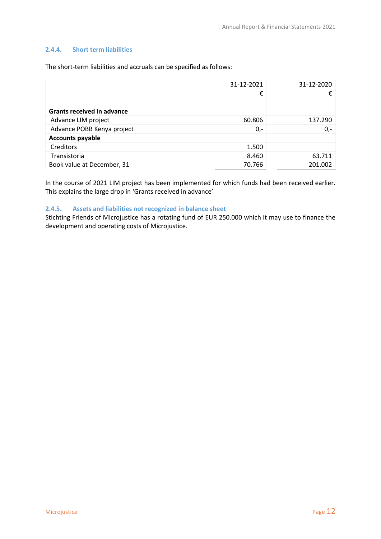#### <span id="page-11-0"></span>**2.4.4. Short term liabilities**

The short-term liabilities and accruals can be specified as follows:

|                                   | 31-12-2021 | 31-12-2020 |
|-----------------------------------|------------|------------|
|                                   | €          |            |
|                                   |            |            |
| <b>Grants received in advance</b> |            |            |
| Advance LIM project               | 60.806     | 137.290    |
| Advance POBB Kenya project        | $0,-$      | $0,-$      |
| <b>Accounts payable</b>           |            |            |
| Creditors                         | 1.500      |            |
| Transistoria                      | 8.460      | 63.711     |
| Book value at December, 31        | 70.766     | 201.002    |

In the course of 2021 LIM project has been implemented for which funds had been received earlier. This explains the large drop in 'Grants received in advance'

## <span id="page-11-1"></span>**2.4.5. Assets and liabilities not recognized in balance sheet**

Stichting Friends of Microjustice has a rotating fund of EUR 250.000 which it may use to finance the development and operating costs of Microjustice.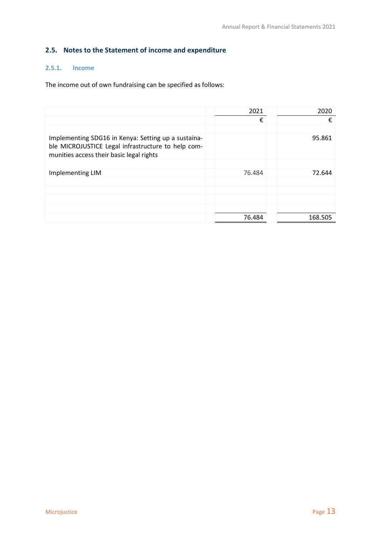# <span id="page-12-0"></span>**2.5. Notes to the Statement of income and expenditure**

# <span id="page-12-1"></span>**2.5.1. Income**

The income out of own fundraising can be specified as follows:

|                                                                                                                                                       | 2021   | 2020    |
|-------------------------------------------------------------------------------------------------------------------------------------------------------|--------|---------|
|                                                                                                                                                       | €      | €       |
|                                                                                                                                                       |        |         |
| Implementing SDG16 in Kenya: Setting up a sustaina-<br>ble MICROJUSTICE Legal infrastructure to help com-<br>munities access their basic legal rights |        | 95.861  |
|                                                                                                                                                       |        |         |
| Implementing LIM                                                                                                                                      | 76.484 | 72.644  |
|                                                                                                                                                       |        |         |
|                                                                                                                                                       |        |         |
|                                                                                                                                                       |        |         |
|                                                                                                                                                       |        |         |
|                                                                                                                                                       | 76.484 | 168.505 |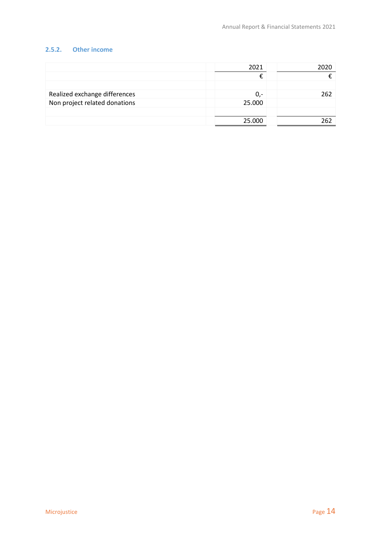# <span id="page-13-0"></span>**2.5.2. Other income**

|                               | 2021   | 2020 |
|-------------------------------|--------|------|
|                               |        |      |
|                               |        |      |
| Realized exchange differences | 0,-    | 262  |
| Non project related donations | 25.000 |      |
|                               |        |      |
|                               | 25.000 |      |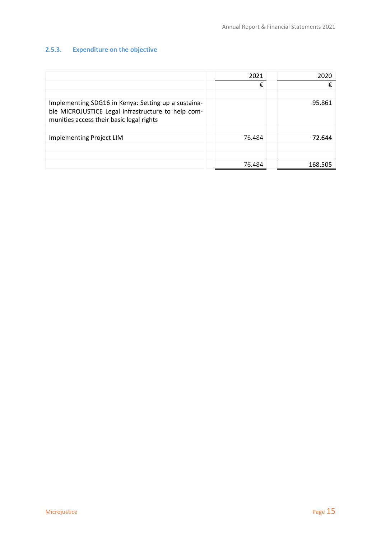# <span id="page-14-0"></span>**2.5.3. Expenditure on the objective**

|                                                                                                                                                       | 2021   | 2020    |
|-------------------------------------------------------------------------------------------------------------------------------------------------------|--------|---------|
|                                                                                                                                                       | €      | €       |
|                                                                                                                                                       |        |         |
| Implementing SDG16 in Kenya: Setting up a sustaina-<br>ble MICROJUSTICE Legal infrastructure to help com-<br>munities access their basic legal rights |        | 95.861  |
|                                                                                                                                                       |        |         |
| <b>Implementing Project LIM</b>                                                                                                                       | 76.484 | 72.644  |
|                                                                                                                                                       |        |         |
|                                                                                                                                                       |        |         |
|                                                                                                                                                       | 76.484 | 168.505 |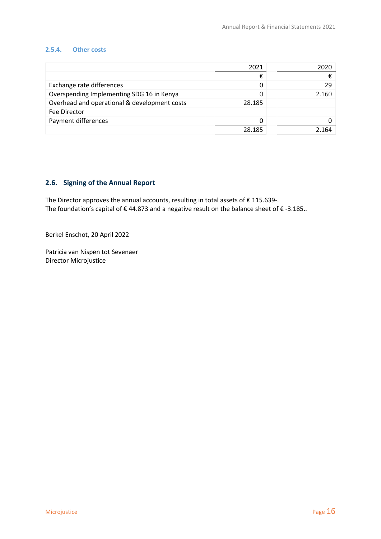#### <span id="page-15-0"></span>**2.5.4. Other costs**

|                                              | 2021   | 2020  |
|----------------------------------------------|--------|-------|
|                                              | €      |       |
| Exchange rate differences                    |        | 29    |
| Overspending Implementing SDG 16 in Kenya    |        | 2.160 |
| Overhead and operational & development costs | 28.185 |       |
| Fee Director                                 |        |       |
| Payment differences                          |        |       |
|                                              | 28 185 |       |

# <span id="page-15-1"></span>**2.6. Signing of the Annual Report**

The Director approves the annual accounts, resulting in total assets of € 115.639-. The foundation's capital of € 44.873 and a negative result on the balance sheet of € -3.185..

Berkel Enschot, 20 April 2022

Patricia van Nispen tot Sevenaer Director Microjustice